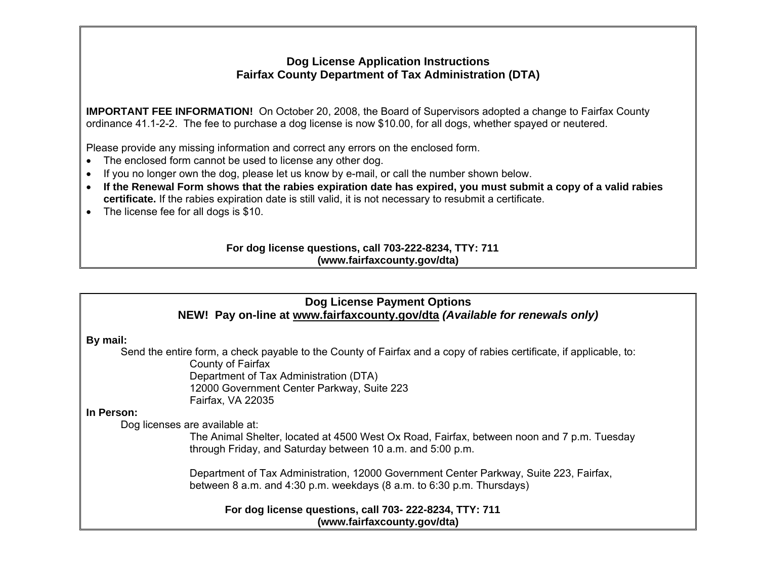## **Dog License Application Instructions Fairfax County Department of Tax Administration (DTA)**

**IMPORTANT FEE INFORMATION!** On October 20, 2008, the Board of Supervisors adopted a change to Fairfax County ordinance 41.1-2-2. The fee to purchase a dog license is now \$10.00, for all dogs, whether spayed or neutered.

Please provide any missing information and correct any errors on the enclosed form.

- The enclosed form cannot be used to license any other dog.
- If you no longer own the dog, please let us know by e-mail, or call the number shown below.
- **If the Renewal Form shows that the rabies expiration date has expired, you must submit a copy of a valid rabies certificate.** If the rabies expiration date is still valid, it is not necessary to resubmit a certificate.
- The license fee for all dogs is \$10.

## **For dog license questions, call 703-222-8234, TTY: 711(www.fairfaxcounty.gov/dta)**

## **Dog License Payment Options NEW! Pay on-line at www.fairfaxcounty.gov/dta** *(Available for renewals only)*

**By mail:**

 Send the entire form, a check payable to the County of Fairfax and a copy of rabies certificate, if applicable, to: County of Fairfax

Department of Tax Administration (DTA) 12000 Government Center Parkway, Suite 223 Fairfax, VA 22035

## **In Person:**

Dog licenses are available at:

The Animal Shelter, located at 4500 West Ox Road, Fairfax, between noon and 7 p.m. Tuesday through Friday, and Saturday between 10 a.m. and 5:00 p.m.

Department of Tax Administration, 12000 Government Center Parkway, Suite 223, Fairfax, between 8 a.m. and 4:30 p.m. weekdays (8 a.m. to 6:30 p.m. Thursdays)

**For dog license questions, call 703- 222-8234, TTY: 711(www.fairfaxcounty.gov/dta)**